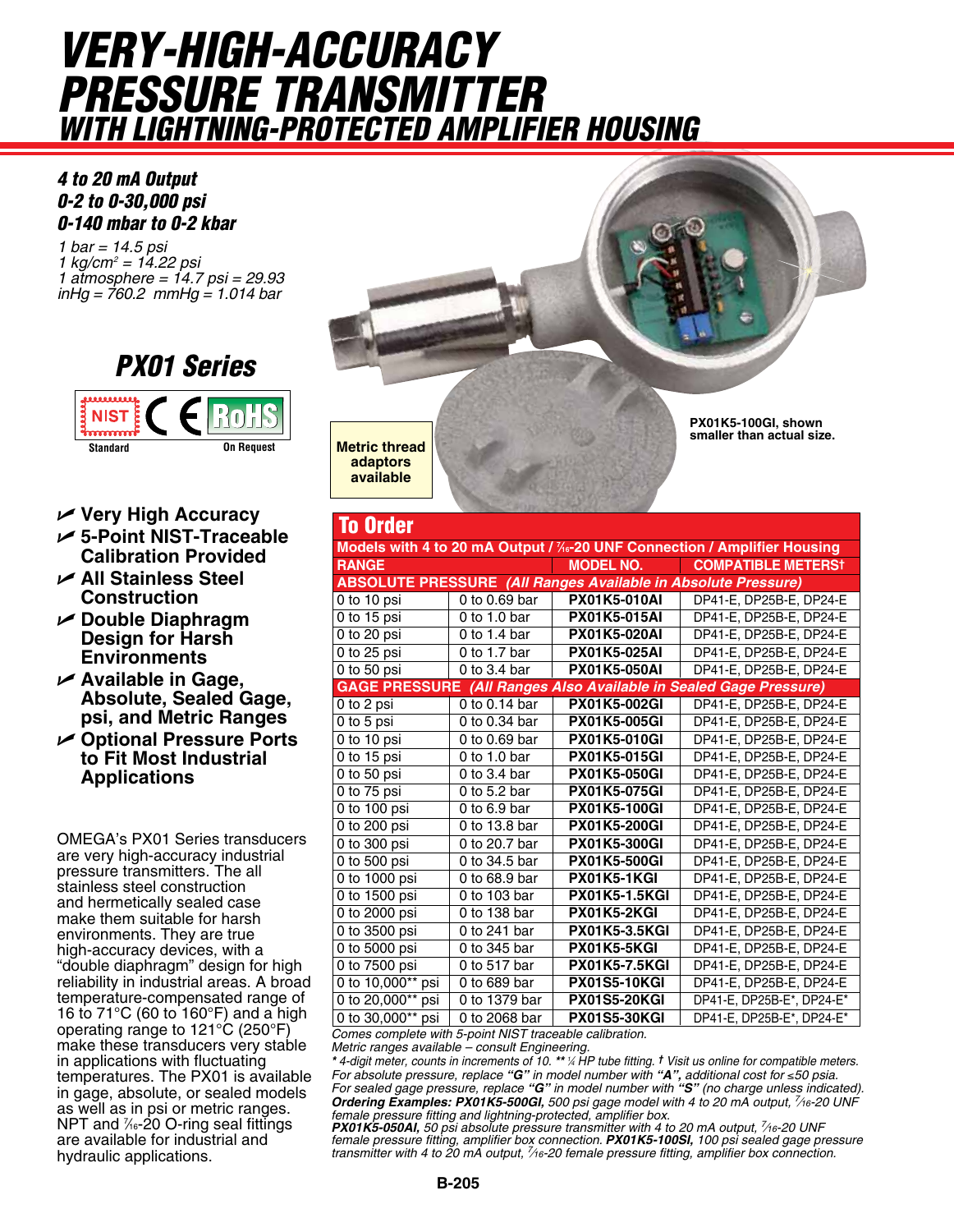## *VERY-HIGH-ACCURACY PRESSURE TRANSMITTER WITH Lightning-Protected Amplifier Housing*

## *4 to 20 mA Output 0-2 to 0-30,000 psi 0-140 mbar to 0-2 kbar*

*1 bar = 14.5 psi 1 kg/cm2 = 14.22 psi 1 atmosphere = 14.7 psi = 29.93 inHg = 760.2 mmHg = 1.014 bar*



- U **Very High Accuracy**
- U **5-Point NIST-Traceable Calibration Provided**
- U **All Stainless Steel Construction**
- U **Double Diaphragm Design for Harsh Environments**
- U **Available in Gage, Absolute, Sealed Gage, psi, and Metric Ranges**
- U **Optional Pressure Ports to Fit Most Industrial Applications**

OMEGA's PX01 Series transducers are very high-accuracy industrial pressure transmitters. The all stainless steel construction and hermetically sealed case make them suitable for harsh environments. They are true high-accuracy devices, with a "double diaphragm" design for high reliability in industrial areas. A broad temperature-compensated range of 16 to 71°C (60 to 160°F) and a high operating range to 121°C (250°F) make these transducers very stable in applications with fluctuating temperatures. The PX01 is available in gage, absolute, or sealed models as well as in psi or metric ranges. NPT and 1⁄16-20 O-ring seal fittings are available for industrial and hydraulic applications.



**PX01K5-100GI, shown smaller than actual size.**

**Metric thread adaptors available** 

To Order

| Models with 4 to 20 mA Output / 1/6-20 UNF Connection / Amplifier Housing |                            |                      |                           |  |  |  |  |  |  |  |
|---------------------------------------------------------------------------|----------------------------|----------------------|---------------------------|--|--|--|--|--|--|--|
| <b>RANGE</b>                                                              |                            | <b>MODEL NO.</b>     | <b>COMPATIBLE METERST</b> |  |  |  |  |  |  |  |
| <b>ABSOLUTE PRESSURE (All Ranges Available in Absolute Pressure)</b>      |                            |                      |                           |  |  |  |  |  |  |  |
| 0 to 10 psi                                                               | 0 to $0.69$ bar            | <b>PX01K5-010AI</b>  | DP41-E, DP25B-E, DP24-E   |  |  |  |  |  |  |  |
| 0 to 15 psi                                                               | 0 to 1.0 bar               | <b>PX01K5-015AI</b>  | DP41-E, DP25B-E, DP24-E   |  |  |  |  |  |  |  |
| 0 to 20 psi                                                               | 0 to 1.4 bar               | <b>PX01K5-020AI</b>  | DP41-E, DP25B-E, DP24-E   |  |  |  |  |  |  |  |
| $0$ to 25 psi                                                             | 0 to 1.7 bar               | <b>PX01K5-025AI</b>  | DP41-E, DP25B-E, DP24-E   |  |  |  |  |  |  |  |
| 0 to 50 $psi$                                                             | $\overline{0}$ to 3.4 bar  | <b>PX01K5-050AI</b>  | DP41-E, DP25B-E, DP24-E   |  |  |  |  |  |  |  |
| <b>GAGE PRESSURE</b> (All Ranges Also Available in Sealed Gage Pressure)  |                            |                      |                           |  |  |  |  |  |  |  |
| 0 to 2 psi                                                                | 0 to 0.14 bar              | <b>PX01K5-002GI</b>  | DP41-E, DP25B-E, DP24-E   |  |  |  |  |  |  |  |
| 0 to 5 psi                                                                | $\overline{0}$ to 0.34 bar | <b>PX01K5-005GI</b>  | DP41-E. DP25B-E. DP24-E   |  |  |  |  |  |  |  |
| 0 to 10 psi                                                               | 0 to 0.69 bar              | <b>PX01K5-010GI</b>  | DP41-E. DP25B-E. DP24-E   |  |  |  |  |  |  |  |
| 0 to 15 psi                                                               | 0 to 1.0 bar               | <b>PX01K5-015GI</b>  | DP41-E, DP25B-E, DP24-E   |  |  |  |  |  |  |  |
| 0 to 50 $psi$                                                             | 0 to $3.4$ bar             | <b>PX01K5-050GI</b>  | DP41-E, DP25B-E, DP24-E   |  |  |  |  |  |  |  |
| 0 to 75 psi                                                               | 0 to $5.2$ bar             | <b>PX01K5-075GI</b>  | DP41-E, DP25B-E, DP24-E   |  |  |  |  |  |  |  |
| 0 to 100 psi                                                              | 0 to $6.9$ bar             | <b>PX01K5-100GI</b>  | DP41-E, DP25B-E, DP24-E   |  |  |  |  |  |  |  |
| 0 to 200 psi                                                              | 0 to 13.8 bar              | PX01K5-200GI         | DP41-E. DP25B-E. DP24-E   |  |  |  |  |  |  |  |
| 0 to 300 psi                                                              | 0 to 20.7 bar              | <b>PX01K5-300GI</b>  | DP41-E, DP25B-E, DP24-E   |  |  |  |  |  |  |  |
| 0 to 500 psi                                                              | 0 to 34.5 bar              | <b>PX01K5-500GI</b>  | DP41-E, DP25B-E, DP24-E   |  |  |  |  |  |  |  |
| 0 to 1000 psi                                                             | 0 to 68.9 bar              | <b>PX01K5-1KGI</b>   | DP41-E, DP25B-E, DP24-E   |  |  |  |  |  |  |  |
| 0 to $1500$ psi                                                           | 0 to 103 bar               | <b>PX01K5-1.5KGI</b> | DP41-E, DP25B-E, DP24-E   |  |  |  |  |  |  |  |
| 0 to 2000 psi                                                             | 0 to 138 bar               | PX01K5-2KGI          | DP41-E, DP25B-E, DP24-E   |  |  |  |  |  |  |  |
| 0 to 3500 psi                                                             | 0 to 241 bar               | <b>PX01K5-3.5KGI</b> | DP41-E, DP25B-E, DP24-E   |  |  |  |  |  |  |  |
| 0 to 5000 psi                                                             | 0 to 345 bar               | PX01K5-5KGI          | DP41-E, DP25B-E, DP24-E   |  |  |  |  |  |  |  |
| 0 to 7500 psi                                                             | 0 to 517 bar               | <b>PX01K5-7.5KGI</b> | DP41-E, DP25B-E, DP24-E   |  |  |  |  |  |  |  |
| 0 to 10,000** psi                                                         | 0 to 689 bar               | <b>PX01S5-10KGI</b>  | DP41-E. DP25B-E. DP24-E   |  |  |  |  |  |  |  |
| 0 to 20,000** psi                                                         | 0 to 1379 bar              | <b>PX01S5-20KGI</b>  | DP41-E, DP25B-E*, DP24-E* |  |  |  |  |  |  |  |
| 0 to 30,000** psi                                                         | 0 to 2068 bar              | <b>PX01S5-30KGI</b>  | DP41-E, DP25B-E*, DP24-E* |  |  |  |  |  |  |  |
| Comes complete with E point NICT trespoble colibration                    |                            |                      |                           |  |  |  |  |  |  |  |

*Comes complete with 5-point NIST traceable calibration. Metric ranges available – consult Engineering.*

*\* 4-digit meter, counts in increments of 10. \*\* <sup>1</sup> ⁄4 HP tube fitting. † Visit us online for compatible meters.* For absolute pressure, replace "**G**" in model number with "**A**", additional cost for ≤50 psia.<br>For sealed gage pressure, replace "**G**" in model number with "**S**" (no charge unless indicated). *Ordering Examples: PX01K5-500GI, 500 psi gage model with 4 to 20 mA output, 7 ⁄16-20 UNF female pressure fitting and lightning-protected, amplifier box.*

**PX01K5-050AI,** 50 psi absolute pressure transmitter with 4 to 20 mA output, 7/16-20 UNF female pressure fitting, amplifier box connection. **PX01K5-100SI,** 100 psi sealed gage pressure<br>transmitter with 4 to 20 mA output, 7⁄16-20 female pressure fitting, amplifier box connection.